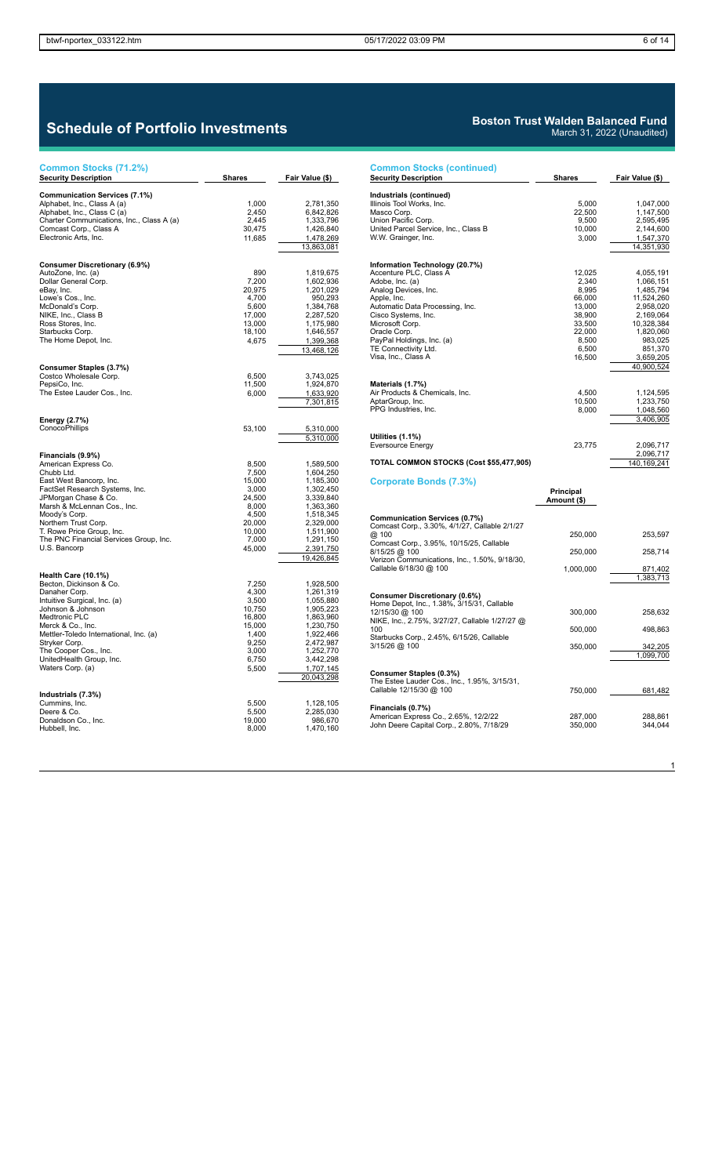| Common Stocks (71.2%)                                                                                                                                                                                                                                                                                       |                                                                                                      |                                                                                                                                                           |
|-------------------------------------------------------------------------------------------------------------------------------------------------------------------------------------------------------------------------------------------------------------------------------------------------------------|------------------------------------------------------------------------------------------------------|-----------------------------------------------------------------------------------------------------------------------------------------------------------|
| <b>Security Description</b>                                                                                                                                                                                                                                                                                 | <b>Shares</b>                                                                                        | Fair Value (\$)                                                                                                                                           |
| <b>Communication Services (7.1%)</b><br>Alphabet, Inc., Class A (a)<br>Alphabet, Inc., Class C (a)<br>Charter Communications, Inc., Class A (a)<br>Comcast Corp., Class A<br>Electronic Arts, Inc.                                                                                                          | 1,000<br>2,450<br>2,445<br>30,475<br>11,685                                                          | 2,781,350<br>6,842,826<br>1,333,796<br>1,426,840<br>1,478,269<br>13,863,081                                                                               |
| Consumer Discretionary (6.9%)<br>AutoZone, Inc. (a)<br>Dollar General Corp.<br>eBay, Inc.<br>Lowe's Cos., Inc.<br>McDonald's Corp.<br>NIKE, Inc., Class B<br>Ross Stores, Inc.<br>Starbucks Corp.<br>The Home Depot, Inc.                                                                                   | 890<br>7,200<br>20,975<br>4,700<br>5,600<br>17,000<br>13,000<br>18,100<br>4,675                      | 1,819,675<br>1,602,936<br>1,201,029<br>950,293<br>1,384,768<br>2,287,520<br>1,175,980<br>1,646,557<br>1,399,368<br>13,468,126                             |
| Consumer Staples (3.7%)<br>Costco Wholesale Corp.<br>PepsiCo, Inc.<br>The Estee Lauder Cos., Inc.                                                                                                                                                                                                           | 6,500<br>11,500<br>6,000                                                                             | 3,743,025<br>1,924,870<br>1,633,920<br>7,301,815                                                                                                          |
| Energy (2.7%)<br>ConocoPhillips                                                                                                                                                                                                                                                                             | 53,100                                                                                               | 5,310,000<br>5,310,000                                                                                                                                    |
| Financials (9.9%)<br>American Express Co.<br>Chubb Ltd.<br>East West Bancorp, Inc.<br>FactSet Research Systems, Inc.<br>JPMorgan Chase & Co.<br>Marsh & McLennan Cos., Inc.<br>Moody's Corp.<br>Northern Trust Corp.<br>T. Rowe Price Group, Inc.<br>The PNC Financial Services Group, Inc.<br>U.S. Bancorp | 8,500<br>7,500<br>15,000<br>3,000<br>24,500<br>8,000<br>4,500<br>20,000<br>10,000<br>7,000<br>45,000 | 1,589,500<br>1,604,250<br>1,185,300<br>1,302,450<br>3,339,840<br>1,363,360<br>1,518,345<br>2,329,000<br>1,511,900<br>1,291,150<br>2,391,750<br>19,426,845 |
| Health Care (10.1%)<br>Becton, Dickinson & Co.<br>Danaher Corp.<br>Intuitive Surgical, Inc. (a)<br>Johnson & Johnson<br>Medtronic PLC<br>Merck & Co., Inc.<br>Mettler-Toledo International, Inc. (a)<br>Stryker Corp.<br>The Cooper Cos., Inc.<br>UnitedHealth Group, Inc.<br>Waters Corp. (a)              | 7,250<br>4,300<br>3,500<br>10,750<br>16,800<br>15,000<br>1,400<br>9,250<br>3,000<br>6,750<br>5,500   | 1,928,500<br>1,261,319<br>1,055,880<br>1,905,223<br>1,863,960<br>1,230,750<br>1,922,466<br>2,472,987<br>1,252,770<br>3,442,298<br>1,707,145<br>20,043,298 |
| Industrials (7.3%)<br>Cummins, Inc.<br>Deere & Co.<br>Donaldson Co., Inc.<br>Hubbell, Inc.                                                                                                                                                                                                                  | 5,500<br>5,500<br>19,000<br>8,000                                                                    | 1,128,105<br>2,285,030<br>986,670<br>1,470,160                                                                                                            |

### **Boston Trust Walden Balanced Fund** March 31, 2022 (Unaudited)

| <b>Common Stocks (continued)</b>                                                                                                                                                                                                                                                                                                                                                              |                                                                                                                                    |                                                                                                                                                                                                              |
|-----------------------------------------------------------------------------------------------------------------------------------------------------------------------------------------------------------------------------------------------------------------------------------------------------------------------------------------------------------------------------------------------|------------------------------------------------------------------------------------------------------------------------------------|--------------------------------------------------------------------------------------------------------------------------------------------------------------------------------------------------------------|
| <b>Security Description</b>                                                                                                                                                                                                                                                                                                                                                                   | <b>Shares</b>                                                                                                                      | Fair Value (\$)                                                                                                                                                                                              |
| Industrials (continued)<br>Illinois Tool Works, Inc.<br>Masco Corp.<br>Union Pacific Corp.<br>United Parcel Service, Inc., Class B<br>W.W. Grainger, Inc.                                                                                                                                                                                                                                     | 5,000<br>22,500<br>9,500<br>10,000<br>3,000                                                                                        | 1,047,000<br>1,147,500<br>2,595,495<br>2,144,600<br>1,547,370                                                                                                                                                |
| Information Technology (20.7%)<br>Accenture PLC, Class A<br>Adobe, Inc. (a)<br>Analog Devices, Inc.<br>Apple, Inc.<br>Automatic Data Processing, Inc.<br>Cisco Systems, Inc.<br>Microsoft Corp.<br>Oracle Corp.<br>PayPal Holdings, Inc. (a)<br>TE Connectivity Ltd.<br>Visa, Inc., Class A<br>Materials (1.7%)<br>Air Products & Chemicals, Inc.<br>AptarGroup, Inc.<br>PPG Industries, Inc. | 12,025<br>2,340<br>8,995<br>66,000<br>13,000<br>38,900<br>33,500<br>22,000<br>8,500<br>6,500<br>16,500<br>4,500<br>10,500<br>8,000 | 14,351,930<br>4,055,191<br>1,066,151<br>1,485,794<br>11,524,260<br>2,958,020<br>2,169,064<br>10,328,384<br>1,820,060<br>983,025<br>851,370<br>3,659,205<br>40,900,524<br>1,124,595<br>1,233,750<br>1,048,560 |
| Utilities (1.1%)<br><b>Eversource Energy</b><br>TOTAL COMMON STOCKS (Cost \$55,477,905)                                                                                                                                                                                                                                                                                                       | 23,775                                                                                                                             | 3,406,905<br>2,096,717<br>2,096,717<br>140,169,241                                                                                                                                                           |
| Corporate Bonds (7.3%)                                                                                                                                                                                                                                                                                                                                                                        | Principal<br>Amount (\$)                                                                                                           |                                                                                                                                                                                                              |
| Communication Services (0.7%)<br>Comcast Corp., 3.30%, 4/1/27, Callable 2/1/27<br>@ 100<br>Comcast Corp., 3.95%, 10/15/25, Callable<br>8/15/25 @ 100<br>Verizon Communications, Inc., 1.50%, 9/18/30,<br>Callable 6/18/30 @ 100                                                                                                                                                               | 250,000<br>250,000<br>1,000,000                                                                                                    | 253,597<br>258,714<br>871,402<br>1,383,713                                                                                                                                                                   |
| Consumer Discretionary (0.6%)<br>Home Depot, Inc., 1.38%, 3/15/31, Callable<br>12/15/30 @ 100<br>NIKE, Inc., 2.75%, 3/27/27, Callable 1/27/27 @<br>100<br>Starbucks Corp., 2.45%, 6/15/26, Callable<br>3/15/26 @ 100                                                                                                                                                                          | 300,000<br>500,000<br>350,000                                                                                                      | 258,632<br>498,863<br>342,205<br>1,099,700                                                                                                                                                                   |
| Consumer Staples (0.3%)<br>The Estee Lauder Cos., Inc., 1.95%, 3/15/31,<br>Callable 12/15/30 @ 100<br>Financials (0.7%)                                                                                                                                                                                                                                                                       | 750,000                                                                                                                            | 681,482                                                                                                                                                                                                      |
| American Express Co., 2.65%, 12/2/22<br>John Deere Capital Corp., 2.80%, 7/18/29                                                                                                                                                                                                                                                                                                              | 287,000<br>350,000                                                                                                                 | 288,861<br>344,044                                                                                                                                                                                           |

 $\overline{1}$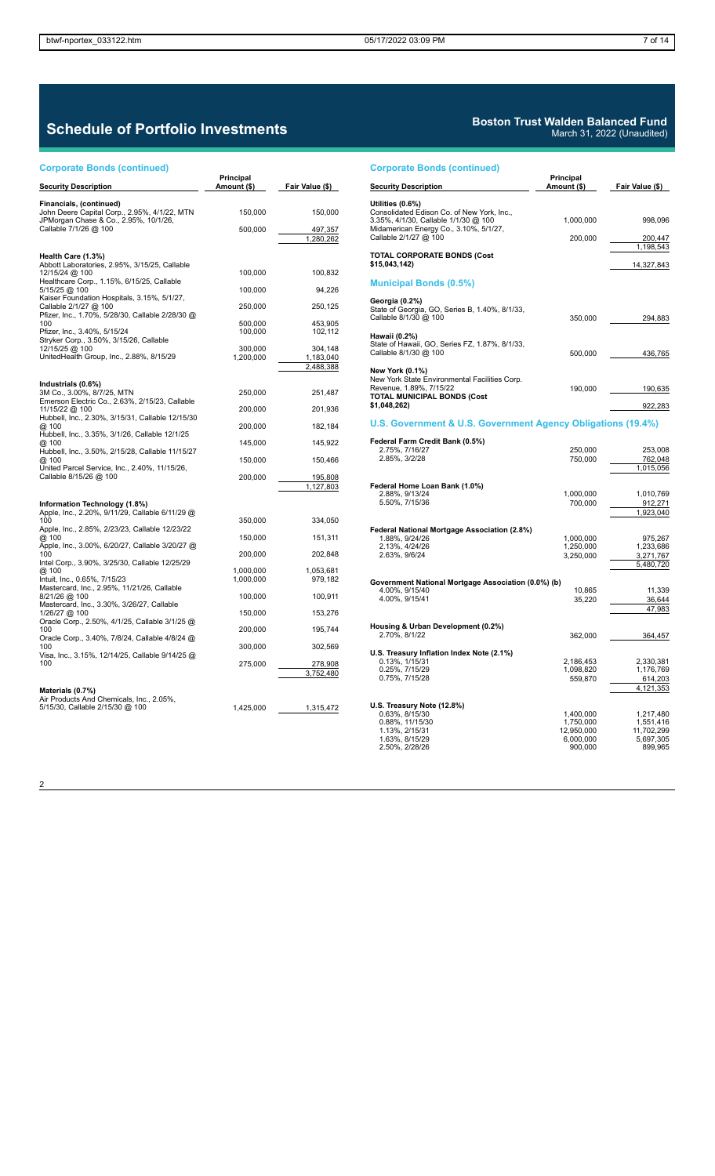# **Schedule of Portfolio Investments**

### **Corporate Bonds (continued)**

2

| <b>Corporate Bonds (continued)</b>                                                                                                                                                                                                                                                                                                                                                                                                                           |                          |                      |
|--------------------------------------------------------------------------------------------------------------------------------------------------------------------------------------------------------------------------------------------------------------------------------------------------------------------------------------------------------------------------------------------------------------------------------------------------------------|--------------------------|----------------------|
| <b>Security Description</b>                                                                                                                                                                                                                                                                                                                                                                                                                                  | Principal<br>Amount (\$) | Fair Value (\$)      |
| Financials, (continued)<br>John Deere Capital Corp., 2.95%, 4/1/22, MTN<br>JPMorgan Chase & Co., 2.95%, 10/1/26,<br>Callable 7/1/26 @ 100                                                                                                                                                                                                                                                                                                                    | 150,000                  | 150,000              |
|                                                                                                                                                                                                                                                                                                                                                                                                                                                              | 500,000                  | 497,357<br>1,280,262 |
| Health Care (1.3%)<br>Abbott Laboratories, 2.95%, 3/15/25, Callable                                                                                                                                                                                                                                                                                                                                                                                          |                          |                      |
| 12/15/24 @ 100<br>Healthcare Corp., 1.15%, 6/15/25, Callable                                                                                                                                                                                                                                                                                                                                                                                                 | 100,000                  | 100,832              |
| 5/15/25 @ 100<br>Kaiser Foundation Hospitals, 3.15%, 5/1/27,                                                                                                                                                                                                                                                                                                                                                                                                 | 100,000                  | 94,226               |
| Callable 2/1/27 @ 100<br>Pfizer, Inc., 1.70%, 5/28/30, Callable 2/28/30 @                                                                                                                                                                                                                                                                                                                                                                                    | 250,000                  | 250,125              |
| 100<br>Pfizer, Inc., 3.40%, 5/15/24                                                                                                                                                                                                                                                                                                                                                                                                                          | 500,000<br>100,000       | 453,905<br>102,112   |
| Stryker Corp., 3.50%, 3/15/26, Callable<br>12/15/25 @ 100<br>UnitedHealth Group, Inc., 2.88%, 8/15/29                                                                                                                                                                                                                                                                                                                                                        | 300.000<br>1,200,000     | 304.148<br>1,183,040 |
|                                                                                                                                                                                                                                                                                                                                                                                                                                                              |                          | 2,488,388            |
| Industrials (0.6%)<br>3M Co., 3.00%, 8/7/25, MTN<br>Emerson Electric Co., 2.63%, 2/15/23, Callable                                                                                                                                                                                                                                                                                                                                                           | 250,000                  | 251,487              |
| 11/15/22 @ 100                                                                                                                                                                                                                                                                                                                                                                                                                                               | 200,000                  | 201,936              |
| Hubbell, Inc., 2.30%, 3/15/31, Callable 12/15/30<br>@ 100<br>Hubbell, Inc., 3.35%, 3/1/26, Callable 12/1/25                                                                                                                                                                                                                                                                                                                                                  | 200,000                  | 182,184              |
| @ 100<br>Hubbell, Inc., 3.50%, 2/15/28, Callable 11/15/27                                                                                                                                                                                                                                                                                                                                                                                                    | 145,000                  | 145,922              |
| @ 100                                                                                                                                                                                                                                                                                                                                                                                                                                                        | 150,000                  | 150,466              |
| United Parcel Service, Inc., 2.40%, 11/15/26,<br>Callable 8/15/26 @ 100                                                                                                                                                                                                                                                                                                                                                                                      | 200,000                  | 195,808<br>1,127,803 |
| Information Technology (1.8%)                                                                                                                                                                                                                                                                                                                                                                                                                                |                          |                      |
| Apple, Inc., 2.20%, 9/11/29, Callable 6/11/29 @<br>100<br>Apple, Inc., 2.85%, 2/23/23, Callable 12/23/22                                                                                                                                                                                                                                                                                                                                                     | 350,000                  | 334,050              |
| @ 100                                                                                                                                                                                                                                                                                                                                                                                                                                                        | 150,000                  | 151,311              |
| Apple, Inc., 3.00%, 6/20/27, Callable 3/20/27 @<br>100<br>Intel Corp., 3.90%, 3/25/30, Callable 12/25/29<br>@ 100<br>Intuit, Inc., 0.65%, 7/15/23<br>Mastercard, Inc., 2.95%, 11/21/26, Callable<br>8/21/26 @ 100<br>Mastercard, Inc., 3.30%, 3/26/27, Callable<br>1/26/27 @ 100<br>Oracle Corp., 2.50%, 4/1/25, Callable 3/1/25 @<br>100<br>Oracle Corp., 3.40%, 7/8/24, Callable 4/8/24 @<br>100<br>Visa, Inc., 3.15%, 12/14/25, Callable 9/14/25 @<br>100 | 200,000                  | 202,848              |
|                                                                                                                                                                                                                                                                                                                                                                                                                                                              | 1,000,000<br>1,000,000   | 1,053,681<br>979,182 |
|                                                                                                                                                                                                                                                                                                                                                                                                                                                              | 100,000                  | 100,911              |
|                                                                                                                                                                                                                                                                                                                                                                                                                                                              | 150,000                  | 153,276              |
|                                                                                                                                                                                                                                                                                                                                                                                                                                                              | 200,000                  | 195,744              |
|                                                                                                                                                                                                                                                                                                                                                                                                                                                              | 300,000                  | 302,569              |
|                                                                                                                                                                                                                                                                                                                                                                                                                                                              | 275,000                  | 278,908<br>3,752,480 |
| Materials (0.7%)<br>Air Products And Chemicals, Inc., 2.05%,<br>5/15/30, Callable 2/15/30 @ 100                                                                                                                                                                                                                                                                                                                                                              | 1,425,000                | 1,315,472            |

## **Boston Trust Walden Balanced Fund**

March 31, 2022 (Unaudited)

| <b>Corporate Bonds (continued)</b>                                                                                                                                        |                                                              |                                                              |
|---------------------------------------------------------------------------------------------------------------------------------------------------------------------------|--------------------------------------------------------------|--------------------------------------------------------------|
| <b>Security Description</b>                                                                                                                                               | Principal<br>Amount (\$)                                     | Fair Value (\$)                                              |
| Utilities (0.6%)<br>Consolidated Edison Co. of New York, Inc.,<br>3.35%, 4/1/30, Callable 1/1/30 @ 100<br>Midamerican Energy Co., 3.10%, 5/1/27,<br>Callable 2/1/27 @ 100 | 1,000,000<br>200,000                                         | 998,096<br>200,447                                           |
| <b>TOTAL CORPORATE BONDS (Cost</b>                                                                                                                                        |                                                              | 1,198,543                                                    |
| \$15,043,142)                                                                                                                                                             |                                                              | 14,327,843                                                   |
| <b>Municipal Bonds (0.5%)</b>                                                                                                                                             |                                                              |                                                              |
| Georgia (0.2%)<br>State of Georgia, GO, Series B, 1.40%, 8/1/33,<br>Callable 8/1/30 @ 100                                                                                 | 350,000                                                      | 294,883                                                      |
| Hawaii (0.2%)<br>State of Hawaii, GO, Series FZ, 1.87%, 8/1/33,<br>Callable 8/1/30 @ 100                                                                                  | 500,000                                                      | 436,765                                                      |
| <b>New York (0.1%)</b><br>New York State Environmental Facilities Corp.<br>Revenue, 1.89%, 7/15/22<br><b>TOTAL MUNICIPAL BONDS (Cost</b>                                  | 190,000                                                      | 190,635                                                      |
| \$1,048,262)                                                                                                                                                              |                                                              | 922,283                                                      |
| U.S. Government & U.S. Government Agency Obligations (19.4%)                                                                                                              |                                                              |                                                              |
| Federal Farm Credit Bank (0.5%)                                                                                                                                           |                                                              |                                                              |
| 2.75%, 7/16/27<br>2.85%, 3/2/28                                                                                                                                           | 250,000<br>750,000                                           | 253,008<br>762,048                                           |
|                                                                                                                                                                           |                                                              | 1,015,056                                                    |
| Federal Home Loan Bank (1.0%)<br>2.88%, 9/13/24<br>5.50%, 7/15/36                                                                                                         | 1,000,000<br>700,000                                         | 1,010,769<br>912,271<br>1,923,040                            |
| Federal National Mortgage Association (2.8%)                                                                                                                              |                                                              |                                                              |
| 1.88%, 9/24/26<br>2.13%, 4/24/26<br>2.63%, 9/6/24                                                                                                                         | 1,000,000<br>1,250,000<br>3,250,000                          | 975,267<br>1,233,686<br>3,271,767<br>5,480,720               |
| Government National Mortgage Association (0.0%) (b)                                                                                                                       |                                                              |                                                              |
| 4.00%, 9/15/40<br>4.00%, 9/15/41                                                                                                                                          | 10,865<br>35,220                                             | 11,339<br>36,644<br>47,983                                   |
| Housing & Urban Development (0.2%)                                                                                                                                        |                                                              |                                                              |
| 2.70%, 8/1/22                                                                                                                                                             | 362,000                                                      | 364,457                                                      |
| U.S. Treasury Inflation Index Note (2.1%)<br>0.13%, 1/15/31<br>0.25%, 7/15/29<br>0.75%, 7/15/28                                                                           | 2,186,453<br>1,098,820<br>559,870                            | 2,330,381<br>1,176,769<br>614,203<br>4,121,353               |
| U.S. Treasury Note (12.8%)<br>0.63%, 8/15/30<br>0.88%, 11/15/30<br>1.13%, 2/15/31<br>1.63%, 8/15/29<br>2.50%, 2/28/26                                                     | 1,400,000<br>1,750,000<br>12,950,000<br>6,000,000<br>900,000 | 1,217,480<br>1,551,416<br>11,702,299<br>5,697,305<br>899,965 |